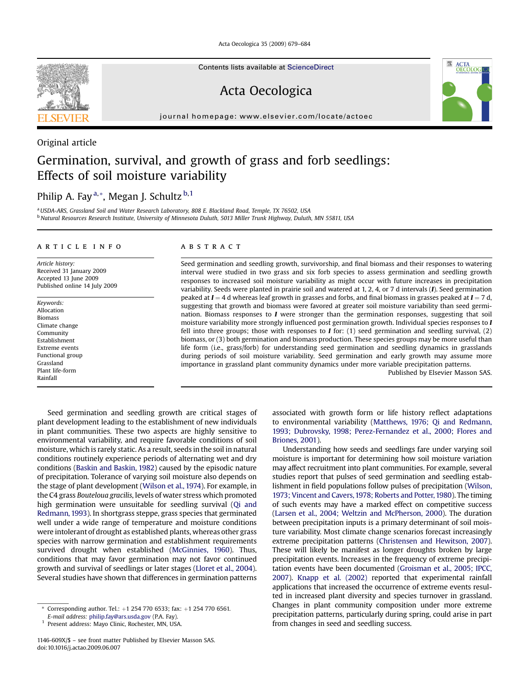Acta Oecologica 35 (2009) 679–684

Contents lists available at [ScienceDirect](www.sciencedirect.com/science/journal/1146609X)

Acta Oecologica

journal homepage: [www.elsevier.com/locate/actoec](http://www.elsevier.com/locate/actoec)

### Original article

# Germination, survival, and growth of grass and forb seedlings: Effects of soil moisture variability

## Philip A. Fay<sup>a,\*</sup>, Megan J. Schultz<sup>b,1</sup>

a USDA-ARS, Grassland Soil and Water Research Laboratory, 808 E. Blackland Road, Temple, TX 76502, USA <sup>b</sup> Natural Resources Research Institute, University of Minnesota Duluth, 5013 Miller Trunk Highway, Duluth, MN 55811, USA

#### article info

Article history: Received 31 January 2009 Accepted 13 June 2009 Published online 14 July 2009

Keywords: Allocation Biomass Climate change Community Establishment Extreme events Functional group Grassland Plant life-form Rainfall

#### ABSTRACT

Seed germination and seedling growth, survivorship, and final biomass and their responses to watering interval were studied in two grass and six forb species to assess germination and seedling growth responses to increased soil moisture variability as might occur with future increases in precipitation variability. Seeds were planted in prairie soil and watered at 1, 2, 4, or 7 d intervals (I). Seed germination peaked at  $I = 4$  d whereas leaf growth in grasses and forbs, and final biomass in grasses peaked at  $I = 7$  d, suggesting that growth and biomass were favored at greater soil moisture variability than seed germination. Biomass responses to I were stronger than the germination responses, suggesting that soil moisture variability more strongly influenced post germination growth. Individual species responses to I fell into three groups; those with responses to  $I$  for: (1) seed germination and seedling survival, (2) biomass, or (3) both germination and biomass production. These species groups may be more useful than life form (i.e., grass/forb) for understanding seed germination and seedling dynamics in grasslands during periods of soil moisture variability. Seed germination and early growth may assume more importance in grassland plant community dynamics under more variable precipitation patterns.

Published by Elsevier Masson SAS.

Seed germination and seedling growth are critical stages of plant development leading to the establishment of new individuals in plant communities. These two aspects are highly sensitive to environmental variability, and require favorable conditions of soil moisture, which is rarely static. As a result, seeds in the soil in natural conditions routinely experience periods of alternating wet and dry conditions [\(Baskin and Baskin, 1982\)](#page-4-0) caused by the episodic nature of precipitation. Tolerance of varying soil moisture also depends on the stage of plant development [\(Wilson et al., 1974\)](#page-5-0). For example, in the C4 grass Bouteloua gracilis, levels of water stress which promoted high germination were unsuitable for seedling survival [\(Qi and](#page-5-0) [Redmann, 1993](#page-5-0)). In shortgrass steppe, grass species that germinated well under a wide range of temperature and moisture conditions were intolerant of drought as established plants, whereas other grass species with narrow germination and establishment requirements survived drought when established ([McGinnies, 1960](#page-5-0)). Thus, conditions that may favor germination may not favor continued growth and survival of seedlings or later stages ([Lloret et al., 2004\)](#page-5-0). Several studies have shown that differences in germination patterns

associated with growth form or life history reflect adaptations to environmental variability ([Matthews, 1976; Qi and Redmann,](#page-5-0) [1993; Dubrovsky, 1998; Perez-Fernandez et al., 2000; Flores and](#page-5-0) [Briones, 2001](#page-5-0)).

Understanding how seeds and seedlings fare under varying soil moisture is important for determining how soil moisture variation may affect recruitment into plant communities. For example, several studies report that pulses of seed germination and seedling establishment in field populations follow pulses of precipitation ([Wilson,](#page-5-0) [1973; Vincent and Cavers,1978; Roberts and Potter,1980](#page-5-0)). The timing of such events may have a marked effect on competitive success [\(Larsen et al., 2004; Weltzin and McPherson, 2000\)](#page-5-0). The duration between precipitation inputs is a primary determinant of soil moisture variability. Most climate change scenarios forecast increasingly extreme precipitation patterns ([Christensen and Hewitson, 2007\)](#page-5-0). These will likely be manifest as longer droughts broken by large precipitation events. Increases in the frequency of extreme precipitation events have been documented [\(Groisman et al., 2005; IPCC,](#page-5-0) [2007](#page-5-0)). [Knapp et al. \(2002\)](#page-5-0) reported that experimental rainfall applications that increased the occurrence of extreme events resulted in increased plant diversity and species turnover in grassland. Changes in plant community composition under more extreme precipitation patterns, particularly during spring, could arise in part from changes in seed and seedling success.



<sup>\*</sup> Corresponding author. Tel.:  $+1$  254 770 6533; fax:  $+1$  254 770 6561.

E-mail address: [philip.fay@ars.usda.gov](mailto:philip.fay@ars.usda.gov) (P.A. Fay).

<sup>1</sup> Present address: Mayo Clinic, Rochester, MN, USA.

<sup>1146-609</sup>X/\$ – see front matter Published by Elsevier Masson SAS. doi:10.1016/j.actao.2009.06.007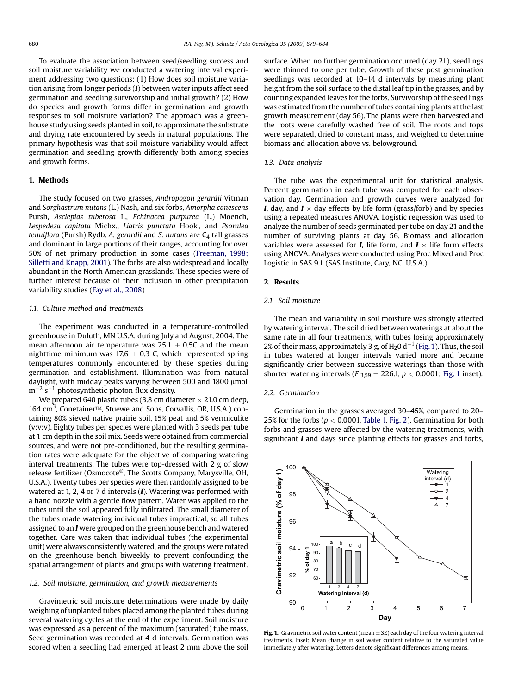To evaluate the association between seed/seedling success and soil moisture variability we conducted a watering interval experiment addressing two questions: (1) How does soil moisture variation arising from longer periods (I) between water inputs affect seed germination and seedling survivorship and initial growth? (2) How do species and growth forms differ in germination and growth responses to soil moisture variation? The approach was a greenhouse study using seeds planted in soil, to approximate the substrate and drying rate encountered by seeds in natural populations. The primary hypothesis was that soil moisture variability would affect germination and seedling growth differently both among species and growth forms.

#### 1. Methods

The study focused on two grasses, Andropogon gerardii Vitman and Sorghastrum nutans (L.) Nash, and six forbs, Amorpha canescens Pursh, Asclepias tuberosa L., Echinacea purpurea (L.) Moench, Lespedeza capitata Michx., Liatris punctata Hook., and Psoralea tenuiflora (Pursh) Rydb. A. gerardii and S. nutans are  $C_4$  tall grasses and dominant in large portions of their ranges, accounting for over 50% of net primary production in some cases [\(Freeman, 1998;](#page-5-0) [Silletti and Knapp, 2001\)](#page-5-0). The forbs are also widespread and locally abundant in the North American grasslands. These species were of further interest because of their inclusion in other precipitation variability studies ([Fay et al., 2008](#page-5-0))

#### 1.1. Culture method and treatments

The experiment was conducted in a temperature-controlled greenhouse in Duluth, MN U.S.A. during July and August, 2004. The mean afternoon air temperature was 25.1  $\pm$  0.5C and the mean nighttime minimum was 17.6  $\pm$  0.3 C, which represented spring temperatures commonly encountered by these species during germination and establishment. Illumination was from natural daylight, with midday peaks varying between 500 and 1800 µmol  $\rm m^{-2}$  s $^{-1}$  photosynthetic photon flux density.

We prepared 640 plastic tubes (3.8 cm diameter  $\times$  21.0 cm deep, 164 cm<sup>3</sup>, Conetainer<sup>™</sup>, Stuewe and Sons, Corvallis, OR, U.S.A.) containing 80% sieved native prairie soil, 15% peat and 5% vermiculite (v:v:v). Eighty tubes per species were planted with 3 seeds per tube at 1 cm depth in the soil mix. Seeds were obtained from commercial sources, and were not pre-conditioned, but the resulting germination rates were adequate for the objective of comparing watering interval treatments. The tubes were top-dressed with 2 g of slow release fertilizer (Osmocote®, The Scotts Company, Marysville, OH, U.S.A.). Twenty tubes per species were then randomly assigned to be watered at 1, 2, 4 or 7 d intervals (I). Watering was performed with a hand nozzle with a gentle flow pattern. Water was applied to the tubes until the soil appeared fully infiltrated. The small diameter of the tubes made watering individual tubes impractical, so all tubes assigned to an I were grouped on the greenhouse bench and watered together. Care was taken that individual tubes (the experimental unit) were always consistently watered, and the groups were rotated on the greenhouse bench biweekly to prevent confounding the spatial arrangement of plants and groups with watering treatment.

#### 1.2. Soil moisture, germination, and growth measurements

Gravimetric soil moisture determinations were made by daily weighing of unplanted tubes placed among the planted tubes during several watering cycles at the end of the experiment. Soil moisture was expressed as a percent of the maximum (saturated) tube mass. Seed germination was recorded at 4 d intervals. Germination was scored when a seedling had emerged at least 2 mm above the soil surface. When no further germination occurred (day 21), seedlings were thinned to one per tube. Growth of these post germination seedlings was recorded at 10–14 d intervals by measuring plant height from the soil surface to the distal leaf tip in the grasses, and by counting expanded leaves for the forbs. Survivorship of the seedlings was estimated from the number of tubes containing plants at the last growth measurement (day 56). The plants were then harvested and the roots were carefully washed free of soil. The roots and tops were separated, dried to constant mass, and weighed to determine biomass and allocation above vs. belowground.

#### 1.3. Data analysis

The tube was the experimental unit for statistical analysis. Percent germination in each tube was computed for each observation day. Germination and growth curves were analyzed for **I**, day, and  $I \times$  day effects by life form (grass/forb) and by species using a repeated measures ANOVA. Logistic regression was used to analyze the number of seeds germinated per tube on day 21 and the number of surviving plants at day 56. Biomass and allocation variables were assessed for *I*, life form, and  $I \times$  life form effects using ANOVA. Analyses were conducted using Proc Mixed and Proc Logistic in SAS 9.1 (SAS Institute, Cary, NC, U.S.A.).

#### 2. Results

#### 2.1. Soil moisture

The mean and variability in soil moisture was strongly affected by watering interval. The soil dried between waterings at about the same rate in all four treatments, with tubes losing approximately 2% of their mass, approximately 3 g, of  $H_2$ 0 d<sup>-1</sup> (Fig. 1). Thus, the soil in tubes watered at longer intervals varied more and became significantly drier between successive waterings than those with shorter watering intervals ( $F_{3,59} = 226.1$ ,  $p < 0.0001$ ; Fig. 1 inset).

#### 2.2. Germination

Germination in the grasses averaged 30–45%, compared to 20– 25% for the forbs ( $p < 0.0001$ , [Table 1,](#page-2-0) [Fig. 2](#page-3-0)). Germination for both forbs and grasses were affected by the watering treatments, with significant I and days since planting effects for grasses and forbs,



**Fig. 1.** Gravimetric soil water content (mean  $\pm$  SE) each day of the four watering interval treatments. Inset: Mean change in soil water content relative to the saturated value immediately after watering. Letters denote significant differences among means.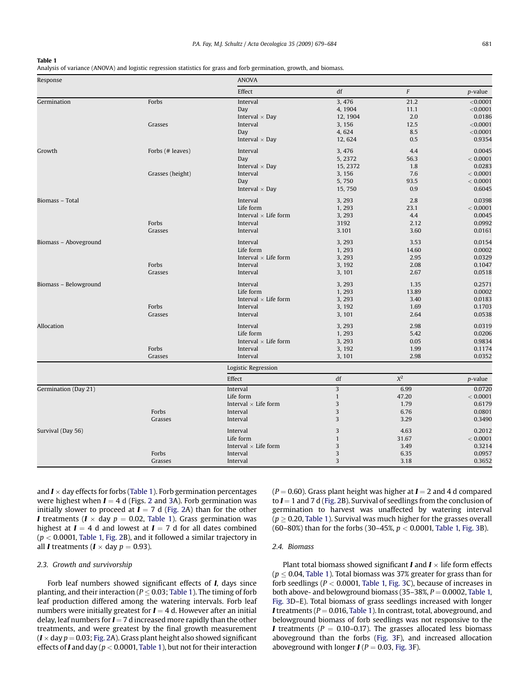#### <span id="page-2-0"></span>Table 1

| Response              |                  | <b>ANOVA</b>                |              |       |                 |  |  |
|-----------------------|------------------|-----------------------------|--------------|-------|-----------------|--|--|
|                       |                  | Effect                      | df           | F     | <i>p</i> -value |  |  |
| Germination           | Forbs            | Interval                    | 3,476        | 21.2  | $<$ 0.0001      |  |  |
|                       |                  | Day                         | 4, 1904      | 11.1  | < 0.0001        |  |  |
|                       |                  | Interval $\times$ Day       | 12, 1904     | 2.0   | 0.0186          |  |  |
|                       | Grasses          | Interval                    | 3, 156       | 12.5  | $<$ 0.0001      |  |  |
|                       |                  | Day                         | 4,624        | 8.5   | $<$ 0.0001      |  |  |
|                       |                  | Interval $\times$ Day       | 12, 624      | 0.5   | 0.9354          |  |  |
| Growth                | Forbs (# leaves) | Interval                    | 3, 476       | 4.4   | 0.0045          |  |  |
|                       |                  | Day                         | 5, 2372      | 56.3  | < 0.0001        |  |  |
|                       |                  | Interval $\times$ Day       | 15, 2372     | 1.8   | 0.0283          |  |  |
|                       | Grasses (height) | Interval                    | 3, 156       | 7.6   | < 0.0001        |  |  |
|                       |                  | Day                         | 5,750        | 93.5  | < 0.0001        |  |  |
|                       |                  | Interval $\times$ Day       | 15,750       | 0.9   | 0.6045          |  |  |
| Biomass - Total       |                  | Interval                    | 3, 293       | 2.8   | 0.0398          |  |  |
|                       |                  | Life form                   | 1,293        | 23.1  | < 0.0001        |  |  |
|                       |                  | Interval $\times$ Life form | 3, 293       | 4.4   | 0.0045          |  |  |
|                       | Forbs            | Interval                    | 3192         | 2.12  | 0.0992          |  |  |
|                       | Grasses          | Interval                    | 3.101        | 3.60  | 0.0161          |  |  |
| Biomass - Aboveground |                  | Interval                    | 3, 293       | 3.53  | 0.0154          |  |  |
|                       |                  | Life form                   | 1,293        | 14.60 | 0.0002          |  |  |
|                       |                  | Interval $\times$ Life form | 3, 293       | 2.95  | 0.0329          |  |  |
|                       | Forbs            | Interval                    | 3, 192       | 2.08  | 0.1047          |  |  |
|                       | Grasses          | Interval                    | 3, 101       | 2.67  | 0.0518          |  |  |
| Biomass - Belowground |                  | Interval                    | 3, 293       | 1.35  | 0.2571          |  |  |
|                       |                  | Life form                   | 1,293        | 13.89 | 0.0002          |  |  |
|                       |                  | Interval $\times$ Life form | 3, 293       | 3.40  | 0.0183          |  |  |
|                       | Forbs            | Interval                    | 3, 192       | 1.69  | 0.1703          |  |  |
|                       | Grasses          | Interval                    | 3, 101       | 2.64  | 0.0538          |  |  |
| Allocation            |                  | Interval                    | 3, 293       | 2.98  | 0.0319          |  |  |
|                       |                  | Life form                   | 1,293        | 5.42  | 0.0206          |  |  |
|                       |                  | Interval $\times$ Life form | 3, 293       | 0.05  | 0.9834          |  |  |
|                       | Forbs            | Interval                    | 3, 192       | 1.99  | 0.1174          |  |  |
|                       | Grasses          | Interval                    | 3, 101       | 2.98  | 0.0352          |  |  |
|                       |                  | Logistic Regression         |              |       |                 |  |  |
|                       |                  | Effect                      | df           | $X^2$ | <i>p</i> -value |  |  |
| Germination (Day 21)  |                  | Interval                    | 3            | 6.99  | 0.0720          |  |  |
|                       |                  | Life form                   | $\mathbf{1}$ | 47.20 | < 0.0001        |  |  |
|                       |                  | Interval $\times$ Life form | 3            | 1.79  | 0.6179          |  |  |
|                       | Forbs            | Interval                    | 3            | 6.76  | 0.0801          |  |  |
|                       | Grasses          | Interval                    | 3            | 3.29  | 0.3490          |  |  |
| Survival (Day 56)     |                  | Interval                    | 3            | 4.63  | 0.2012          |  |  |
|                       |                  | Life form                   | $\mathbf{1}$ | 31.67 | < 0.0001        |  |  |
|                       |                  | Interval $\times$ Life form | 3            | 3.49  | 0.3214          |  |  |
|                       | Forbs            | Interval                    | 3            | 6.35  | 0.0957          |  |  |
|                       | Grasses          | Interval                    | 3            | 3.18  | 0.3652          |  |  |
|                       |                  |                             |              |       |                 |  |  |

and  $I \times$  day effects for forbs (Table 1). Forb germination percentages were highest when  $I = 4$  d (Figs. [2](#page-3-0) and [3A](#page-3-0)). Forb germination was initially slower to proceed at  $I = 7$  d [\(Fig. 2](#page-3-0)A) than for the other I treatments ( $I \times$  day  $p = 0.02$ , Table 1). Grass germination was highest at  $I = 4$  d and lowest at  $I = 7$  d for all dates combined  $(p < 0.0001$ , Table 1, [Fig. 2B](#page-3-0)), and it followed a similar trajectory in all *I* treatments (*I*  $\times$  day *p* = 0.93).

#### 2.3. Growth and survivorship

Forb leaf numbers showed significant effects of *I*, days since planting, and their interaction ( $P \leq 0.03$ ; Table 1). The timing of forb leaf production differed among the watering intervals. Forb leaf numbers were initially greatest for  $I = 4$  d. However after an initial delay, leaf numbers for  $I = 7$  d increased more rapidly than the other treatments, and were greatest by the final growth measurement ( $I \times$  day  $p = 0.03$ ; [Fig. 2](#page-3-0)A). Grass plant height also showed significant effects of **I** and day ( $p < 0.0001$ , Table 1), but not for their interaction

 $(P = 0.60)$ . Grass plant height was higher at  $I = 2$  and 4 d compared to  $I = 1$  and 7 d [\(Fig.](#page-3-0) 2B). Survival of seedlings from the conclusion of germination to harvest was unaffected by watering interval  $(p > 0.20$ , Table 1). Survival was much higher for the grasses overall (60–80%) than for the forbs (30–45%,  $p < 0.0001$ , Table 1, [Fig. 3B](#page-3-0)).

#### 2.4. Biomass

Plant total biomass showed significant **I** and  $I \times$  life form effects ( $p \leq 0.04$ , Table 1). Total biomass was 37% greater for grass than for forb seedlings ( $P < 0.0001$ , Table 1, [Fig. 3](#page-3-0)C), because of increases in both above- and belowground biomass (35–38%,  $P = 0.0002$ , Table 1, [Fig. 3](#page-3-0)D–E). Total biomass of grass seedlings increased with longer I treatments ( $P = 0.016$ , Table 1). In contrast, total, aboveground, and belowground biomass of forb seedlings was not responsive to the I treatments ( $P = 0.10-0.17$ ). The grasses allocated less biomass aboveground than the forbs ([Fig. 3](#page-3-0)F), and increased allocation aboveground with longer  $I (P = 0.03, Fig. 3F)$  $I (P = 0.03, Fig. 3F)$  $I (P = 0.03, Fig. 3F)$ .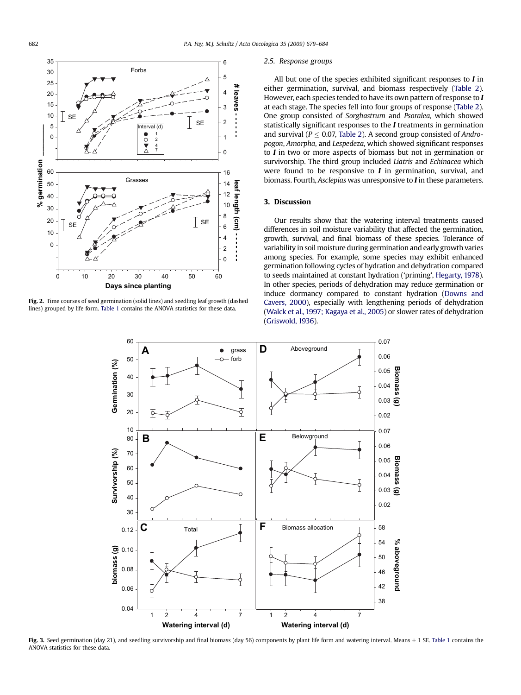<span id="page-3-0"></span>

Fig. 2. Time courses of seed germination (solid lines) and seedling leaf growth (dashed lines) grouped by life form. [Table 1](#page-2-0) contains the ANOVA statistics for these data.

#### 2.5. Response groups

All but one of the species exhibited significant responses to  $I$  in either germination, survival, and biomass respectively ([Table 2](#page-4-0)). However, each species tended to have its own pattern of response to I at each stage. The species fell into four groups of response ([Table 2](#page-4-0)). One group consisted of Sorghastrum and Psoralea, which showed statistically significant responses to the I treatments in germination and survival ( $P < 0.07$ , [Table 2\)](#page-4-0). A second group consisted of Andropogon, Amorpha, and Lespedeza, which showed significant responses to I in two or more aspects of biomass but not in germination or survivorship. The third group included Liatris and Echinacea which were found to be responsive to  $I$  in germination, survival, and biomass. Fourth, Asclepias was unresponsive to I in these parameters.

#### 3. Discussion

Our results show that the watering interval treatments caused differences in soil moisture variability that affected the germination, growth, survival, and final biomass of these species. Tolerance of variability in soil moisture during germination and early growth varies among species. For example, some species may exhibit enhanced germination following cycles of hydration and dehydration compared to seeds maintained at constant hydration ('priming', [Hegarty, 1978](#page-5-0)). In other species, periods of dehydration may reduce germination or induce dormancy compared to constant hydration [\(Downs and](#page-5-0) [Cavers, 2000](#page-5-0)), especially with lengthening periods of dehydration ([Walck et al., 1997; Kagaya et al., 2005\)](#page-5-0) or slower rates of dehydration ([Griswold, 1936\)](#page-5-0).



**Fig. 3.** Seed germination (day 21), and seedling survivorship and final biomass (day 56) components by plant life form and watering interval. Means  $\pm$  1 SE. [Table 1](#page-2-0) contains the ANOVA statistics for these data.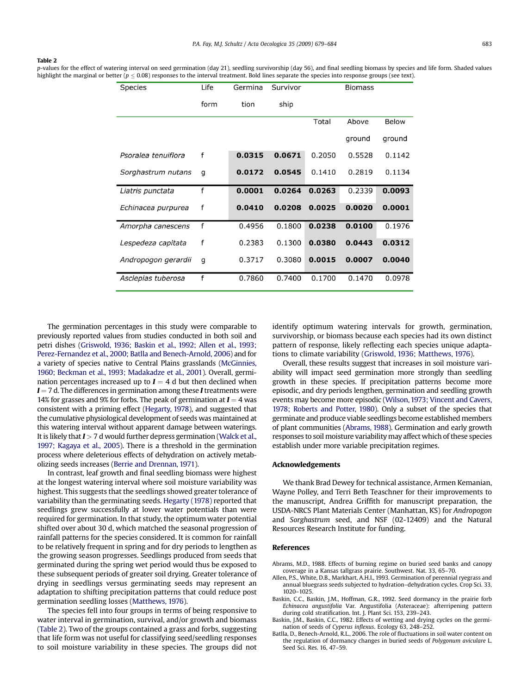#### <span id="page-4-0"></span>Table 2

p-values for the effect of watering interval on seed germination (day 21), seedling survivorship (day 56), and final seedling biomass by species and life form. Shaded values highlight the marginal or better ( $p \le 0.08$ ) responses to the interval treatment. Bold lines separate the species into response groups (see text).

| Species             | Life | Germina | Survivor |        | <b>Biomass</b> |              |
|---------------------|------|---------|----------|--------|----------------|--------------|
|                     | form | tion    | ship     |        |                |              |
|                     |      |         |          | Total  | Above          | <b>Below</b> |
|                     |      |         |          |        | ground         | ground       |
| Psoralea tenuiflora | f    | 0.0315  | 0.0671   | 0.2050 | 0.5528         | 0.1142       |
| Sorghastrum nutans  | g    | 0.0172  | 0.0545   | 0.1410 | 0.2819         | 0.1134       |
| Liatris punctata    | f    | 0.0001  | 0.0264   | 0.0263 | 0.2339         | 0.0093       |
| Echinacea purpurea  | f    | 0.0410  | 0.0208   | 0.0025 | 0.0020         | 0.0001       |
| Amorpha canescens   | f    | 0.4956  | 0.1800   | 0.0238 | 0.0100         | 0.1976       |
| Lespedeza capitata  | f    | 0.2383  | 0.1300   | 0.0380 | 0.0443         | 0.0312       |
| Andropogon gerardii | g    | 0.3717  | 0.3080   | 0.0015 | 0.0007         | 0.0040       |
| Asclepias tuberosa  | f    | 0.7860  | 0.7400   | 0.1700 | 0.1470         | 0.0978       |

The germination percentages in this study were comparable to previously reported values from studies conducted in both soil and petri dishes [\(Griswold, 1936; Baskin et al., 1992; Allen et al., 1993;](#page-5-0) [Perez-Fernandez et al., 2000; Batlla and Benech-Arnold, 2006](#page-5-0)) and for a variety of species native to Central Plains grasslands [\(McGinnies,](#page-5-0) [1960; Beckman et al., 1993; Madakadze et al., 2001](#page-5-0)). Overall, germination percentages increased up to  $I = 4$  d but then declined when  $I = 7$  d. The differences in germination among these I treatments were 14% for grasses and 9% for forbs. The peak of germination at  $I = 4$  was consistent with a priming effect [\(Hegarty, 1978](#page-5-0)), and suggested that the cumulative physiological development of seeds was maintained at this watering interval without apparent damage between waterings. It is likely that  $I > 7$  d would further depress germination ([Walck et al.,](#page-5-0) [1997; Kagaya et al., 2005](#page-5-0)). There is a threshold in the germination process where deleterious effects of dehydration on actively metabolizing seeds increases [\(Berrie and Drennan, 1971\)](#page-5-0).

In contrast, leaf growth and final seedling biomass were highest at the longest watering interval where soil moisture variability was highest. This suggests that the seedlings showed greater tolerance of variability than the germinating seeds. [Hegarty \(1978\)](#page-5-0) reported that seedlings grew successfully at lower water potentials than were required for germination. In that study, the optimum water potential shifted over about 30 d, which matched the seasonal progression of rainfall patterns for the species considered. It is common for rainfall to be relatively frequent in spring and for dry periods to lengthen as the growing season progresses. Seedlings produced from seeds that germinated during the spring wet period would thus be exposed to these subsequent periods of greater soil drying. Greater tolerance of drying in seedlings versus germinating seeds may represent an adaptation to shifting precipitation patterns that could reduce post germination seedling losses [\(Matthews, 1976\)](#page-5-0).

The species fell into four groups in terms of being responsive to water interval in germination, survival, and/or growth and biomass (Table 2). Two of the groups contained a grass and forbs, suggesting that life form was not useful for classifying seed/seedling responses to soil moisture variability in these species. The groups did not identify optimum watering intervals for growth, germination, survivorship, or biomass because each species had its own distinct pattern of response, likely reflecting each species unique adaptations to climate variability ([Griswold, 1936; Matthews, 1976\)](#page-5-0).

Overall, these results suggest that increases in soil moisture variability will impact seed germination more strongly than seedling growth in these species. If precipitation patterns become more episodic, and dry periods lengthen, germination and seedling growth events may become more episodic ([Wilson, 1973; Vincent and Cavers,](#page-5-0) [1978; Roberts and Potter, 1980](#page-5-0)). Only a subset of the species that germinate and produce viable seedlings become established members of plant communities (Abrams, 1988). Germination and early growth responses to soil moisture variability may affect which of these species establish under more variable precipitation regimes.

#### Acknowledgements

We thank Brad Dewey for technical assistance, Armen Kemanian, Wayne Polley, and Terri Beth Teaschner for their improvements to the manuscript, Andrea Griffith for manuscript preparation, the USDA-NRCS Plant Materials Center (Manhattan, KS) for Andropogon and Sorghastrum seed, and NSF (02-12409) and the Natural Resources Research Institute for funding.

#### References

- Abrams, M.D., 1988. Effects of burning regime on buried seed banks and canopy coverage in a Kansas tallgrass prairie. Southwest. Nat. 33, 65–70.
- Allen, P.S., White, D.B., Markhart, A.H.I., 1993. Germination of perennial ryegrass and annual bluegrass seeds subjected to hydration–dehydration cycles. Crop Sci. 33, 1020–1025.
- Baskin, C.C., Baskin, J.M., Hoffman, G.R., 1992. Seed dormancy in the prairie forb Echinacea angustifolia Var. Angustifolia (Asteraceae): afterripening pattern during cold stratification. Int. J. Plant Sci. 153, 239–243.
- Baskin, J.M., Baskin, C.C., 1982. Effects of wetting and drying cycles on the germination of seeds of Cyperus inflexus. Ecology 63, 248–252.
- Batlla, D., Benech-Arnold, R.L., 2006. The role of fluctuations in soil water content on the regulation of dormancy changes in buried seeds of Polygonum aviculare L. Seed Sci. Res. 16, 47–59.